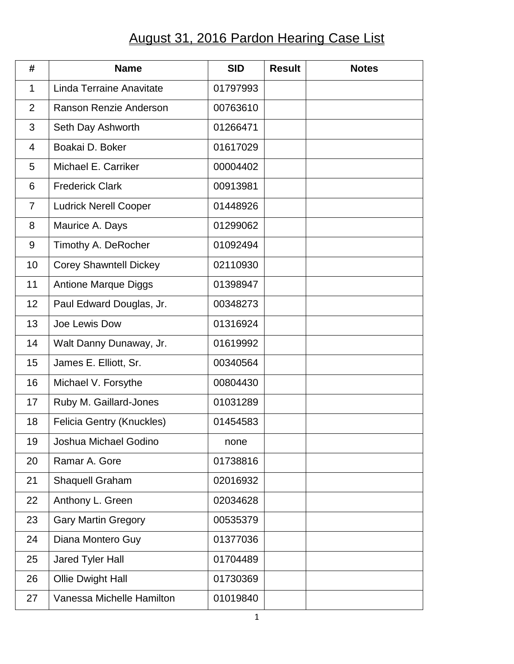## August 31, 2016 Pardon Hearing Case List

| #              | <b>Name</b>                      | <b>SID</b> | <b>Result</b> | <b>Notes</b> |
|----------------|----------------------------------|------------|---------------|--------------|
| $\mathbf 1$    | Linda Terraine Anavitate         | 01797993   |               |              |
| $\overline{2}$ | Ranson Renzie Anderson           | 00763610   |               |              |
| 3              | Seth Day Ashworth                | 01266471   |               |              |
| 4              | Boakai D. Boker                  | 01617029   |               |              |
| 5              | Michael E. Carriker              | 00004402   |               |              |
| 6              | <b>Frederick Clark</b>           | 00913981   |               |              |
| $\overline{7}$ | <b>Ludrick Nerell Cooper</b>     | 01448926   |               |              |
| 8              | Maurice A. Days                  | 01299062   |               |              |
| 9              | Timothy A. DeRocher              | 01092494   |               |              |
| 10             | <b>Corey Shawntell Dickey</b>    | 02110930   |               |              |
| 11             | <b>Antione Marque Diggs</b>      | 01398947   |               |              |
| 12             | Paul Edward Douglas, Jr.         | 00348273   |               |              |
| 13             | Joe Lewis Dow                    | 01316924   |               |              |
| 14             | Walt Danny Dunaway, Jr.          | 01619992   |               |              |
| 15             | James E. Elliott, Sr.            | 00340564   |               |              |
| 16             | Michael V. Forsythe              | 00804430   |               |              |
| 17             | Ruby M. Gaillard-Jones           | 01031289   |               |              |
| 18             | <b>Felicia Gentry (Knuckles)</b> | 01454583   |               |              |
| 19             | Joshua Michael Godino            | none       |               |              |
| 20             | Ramar A. Gore                    | 01738816   |               |              |
| 21             | <b>Shaquell Graham</b>           | 02016932   |               |              |
| 22             | Anthony L. Green                 | 02034628   |               |              |
| 23             | <b>Gary Martin Gregory</b>       | 00535379   |               |              |
| 24             | Diana Montero Guy                | 01377036   |               |              |
| 25             | Jared Tyler Hall                 | 01704489   |               |              |
| 26             | Ollie Dwight Hall                | 01730369   |               |              |
| 27             | Vanessa Michelle Hamilton        | 01019840   |               |              |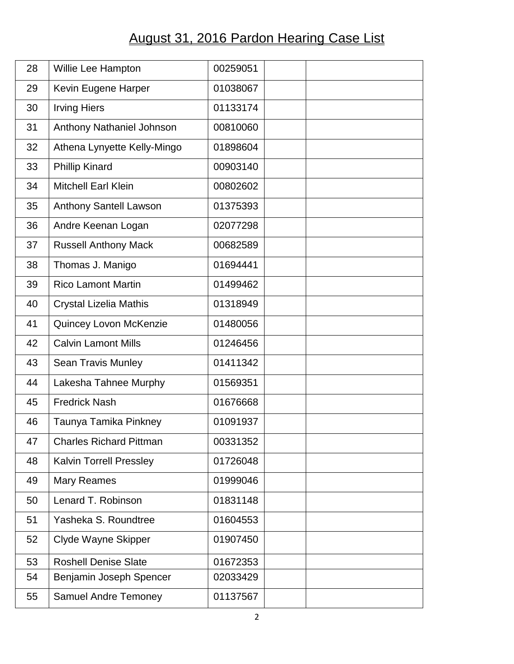## August 31, 2016 Pardon Hearing Case List

| 28 | Willie Lee Hampton             | 00259051 |  |
|----|--------------------------------|----------|--|
| 29 | Kevin Eugene Harper            | 01038067 |  |
| 30 | <b>Irving Hiers</b>            | 01133174 |  |
| 31 | Anthony Nathaniel Johnson      | 00810060 |  |
| 32 | Athena Lynyette Kelly-Mingo    | 01898604 |  |
| 33 | <b>Phillip Kinard</b>          | 00903140 |  |
| 34 | <b>Mitchell Earl Klein</b>     | 00802602 |  |
| 35 | <b>Anthony Santell Lawson</b>  | 01375393 |  |
| 36 | Andre Keenan Logan             | 02077298 |  |
| 37 | <b>Russell Anthony Mack</b>    | 00682589 |  |
| 38 | Thomas J. Manigo               | 01694441 |  |
| 39 | <b>Rico Lamont Martin</b>      | 01499462 |  |
| 40 | <b>Crystal Lizelia Mathis</b>  | 01318949 |  |
| 41 | Quincey Lovon McKenzie         | 01480056 |  |
| 42 | <b>Calvin Lamont Mills</b>     | 01246456 |  |
| 43 | <b>Sean Travis Munley</b>      | 01411342 |  |
| 44 | Lakesha Tahnee Murphy          | 01569351 |  |
| 45 | <b>Fredrick Nash</b>           | 01676668 |  |
| 46 | Taunya Tamika Pinkney          | 01091937 |  |
| 47 | <b>Charles Richard Pittman</b> | 00331352 |  |
| 48 | <b>Kalvin Torrell Pressley</b> | 01726048 |  |
| 49 | <b>Mary Reames</b>             | 01999046 |  |
| 50 | Lenard T. Robinson             | 01831148 |  |
| 51 | Yasheka S. Roundtree           | 01604553 |  |
| 52 | Clyde Wayne Skipper            | 01907450 |  |
| 53 | <b>Roshell Denise Slate</b>    | 01672353 |  |
| 54 | Benjamin Joseph Spencer        | 02033429 |  |
| 55 | <b>Samuel Andre Temoney</b>    | 01137567 |  |